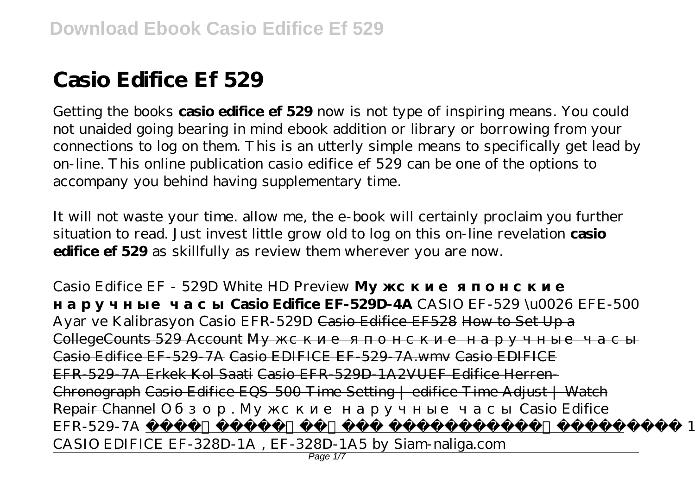## **Casio Edifice Ef 529**

Getting the books **casio edifice ef 529** now is not type of inspiring means. You could not unaided going bearing in mind ebook addition or library or borrowing from your connections to log on them. This is an utterly simple means to specifically get lead by on-line. This online publication casio edifice ef 529 can be one of the options to accompany you behind having supplementary time.

It will not waste your time. allow me, the e-book will certainly proclaim you further situation to read. Just invest little grow old to log on this on-line revelation **casio edifice ef 529** as skillfully as review them wherever you are now.

*Casio Edifice EF - 529D White HD Preview* 

**Casio Edifice EF-529D-4A** CASIO EF-529 \u0026 EFE-500 Ayar ve Kalibrasyon Casio EFR-529D Casio Edifice EF528 How to Set Up a CollegeCounts 529 Account Casio Edifice EF-529-7A Casio EDIFICE EF-529-7A.wmv Casio EDIFICE EFR-529-7A Erkek Kol Saati Casio EFR-529D-1A2VUEF Edifice Herren-Chronograph Casio Edifice EQS-500 Time Setting | edifice Time Adjust | Watch Repair Channel *Обзор. Мужские наручные часы Casio Edifice EFR-529-7A* Review 2008 **Review 2008** Review 2008 **Review 2008** CASIO EDIFICE EF-328D-1A , EF-328D-1A5 by Siam-naliga.com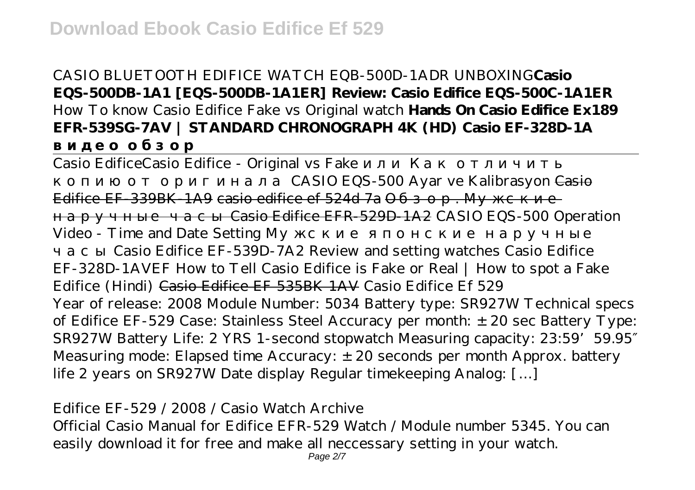CASIO BLUETOOTH EDIFICE WATCH EQB-500D-1ADR UNBOXING**Casio EQS-500DB-1A1 [EQS-500DB-1A1ER] Review: Casio Edifice EQS-500C-1A1ER** *How To know Casio Edifice Fake vs Original watch* **Hands On Casio Edifice Ex189 EFR-539SG-7AV | STANDARD CHRONOGRAPH 4K (HD) Casio EF-328D-1A**

Casio Edifice Casio Edifice - Original vs Fake

CASIO EQS-500 Ayar ve Kalibrasyon Casio

Edifice EF-339BK-1A9 casio edifice ef 524d 7a

наручные часы Casio Edifice EFR-529D-1A2 *CASIO EQS-500 Operation*

*Video - Time and Date Setting Мужские японские наручные*

*часы Casio Edifice EF-539D-7A2 Review and setting watches Casio Edifice EF-328D-1AVEF* How to Tell Casio Edifice is Fake or Real | How to spot a Fake Edifice (Hindi) Casio Edifice EF 535BK 1AV Casio Edifice Ef 529 Year of release: 2008 Module Number: 5034 Battery type: SR927W Technical specs of Edifice EF-529 Case: Stainless Steel Accuracy per month: ±20 sec Battery Type: SR927W Battery Life: 2 YRS 1-second stopwatch Measuring capacity: 23:59' 59.95 Measuring mode: Elapsed time Accuracy:  $\pm$  20 seconds per month Approx. battery life 2 years on SR927W Date display Regular timekeeping Analog: […]

Edifice EF-529 / 2008 / Casio Watch Archive Official Casio Manual for Edifice EFR-529 Watch / Module number 5345. You can easily download it for free and make all neccessary setting in your watch.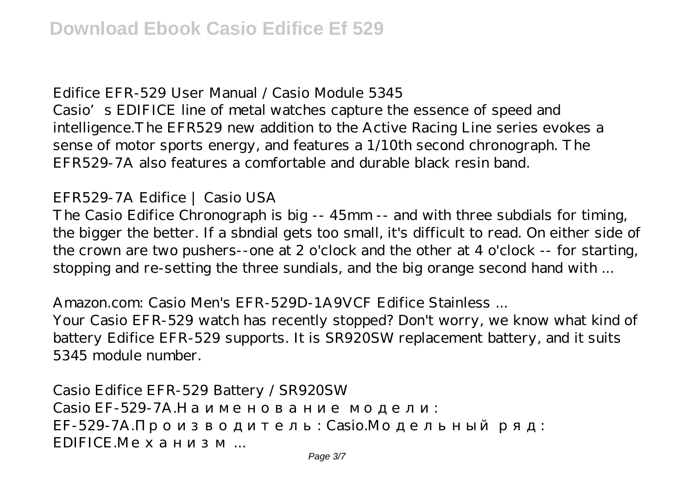Edifice EFR-529 User Manual / Casio Module 5345

Casio's EDIFICE line of metal watches capture the essence of speed and intelligence.The EFR529 new addition to the Active Racing Line series evokes a sense of motor sports energy, and features a 1/10th second chronograph. The EFR529-7A also features a comfortable and durable black resin band.

EFR529-7A Edifice | Casio USA

The Casio Edifice Chronograph is big -- 45mm -- and with three subdials for timing, the bigger the better. If a sbndial gets too small, it's difficult to read. On either side of the crown are two pushers--one at 2 o'clock and the other at 4 o'clock -- for starting, stopping and re-setting the three sundials, and the big orange second hand with ...

Amazon.com: Casio Men's EFR-529D-1A9VCF Edifice Stainless ... Your Casio EFR-529 watch has recently stopped? Don't worry, we know what kind of battery Edifice EFR-529 supports. It is SR920SW replacement battery, and it suits 5345 module number.

Casio Edifice EFR-529 Battery / SR920SW  $Casio FF-529-7A$ EF-529-7A. Casio. EDIFICE.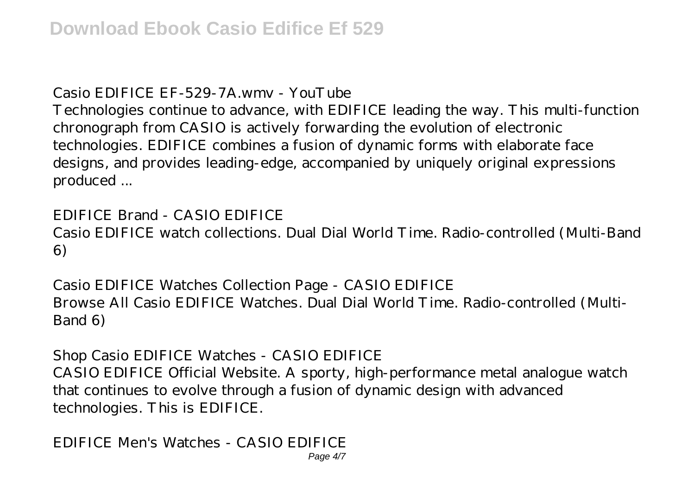Casio EDIFICE EF-529-7A.wmv - YouTube

Technologies continue to advance, with EDIFICE leading the way. This multi-function chronograph from CASIO is actively forwarding the evolution of electronic technologies. EDIFICE combines a fusion of dynamic forms with elaborate face designs, and provides leading-edge, accompanied by uniquely original expressions produced ...

EDIFICE Brand - CASIO EDIFICE Casio EDIFICE watch collections. Dual Dial World Time. Radio-controlled (Multi-Band 6)

Casio EDIFICE Watches Collection Page - CASIO EDIFICE Browse All Casio EDIFICE Watches. Dual Dial World Time. Radio-controlled (Multi-Band 6)

Shop Casio EDIFICE Watches - CASIO EDIFICE CASIO EDIFICE Official Website. A sporty, high-performance metal analogue watch that continues to evolve through a fusion of dynamic design with advanced technologies. This is EDIFICE.

EDIFICE Men's Watches - CASIO EDIFICE Page 4/7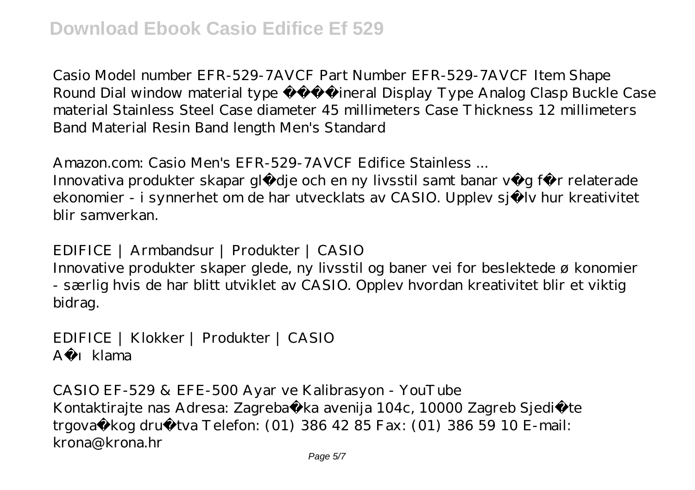Casio Model number EFR-529-7AVCF Part Number EFR-529-7AVCF Item Shape Round Dial window material type Mineral Display Type Analog Clasp Buckle Case material Stainless Steel Case diameter 45 millimeters Case Thickness 12 millimeters Band Material Resin Band length Men's Standard

Amazon.com: Casio Men's EFR-529-7AVCF Edifice Stainless ...

Innovativa produkter skapar glädje och en ny livsstil samt banar väg för relaterade ekonomier - i synnerhet om de har utvecklats av CASIO. Upplev själv hur kreativitet blir samverkan.

EDIFICE | Armbandsur | Produkter | CASIO

Innovative produkter skaper glede, ny livsstil og baner vei for beslektede ø konomier - særlig hvis de har blitt utviklet av CASIO. Opplev hvordan kreativitet blir et viktig bidrag.

EDIFICE | Klokker | Produkter | CASIO Ac 1 klama

CASIO EF-529 & EFE-500 Ayar ve Kalibrasyon - YouTube Kontaktirajte nas Adresa: Zagreba ka avenija 104c, 10000 Zagreb Sjedište trgova kog društva Telefon: (01) 386 42 85 Fax: (01) 386 59 10 E-mail: krona@krona.hr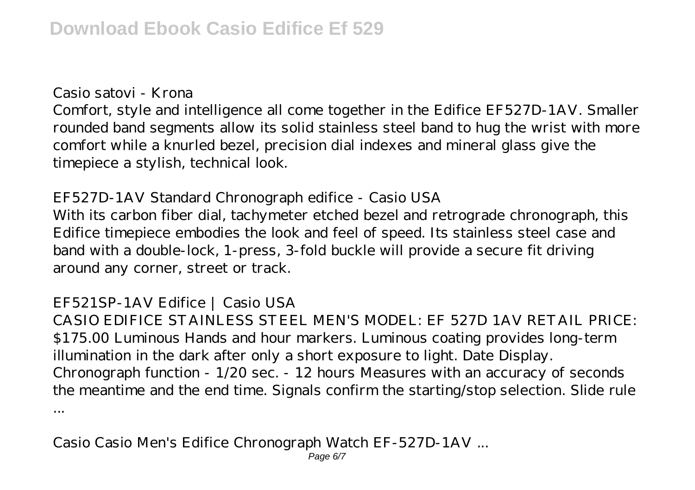Casio satovi - Krona

Comfort, style and intelligence all come together in the Edifice EF527D-1AV. Smaller rounded band segments allow its solid stainless steel band to hug the wrist with more comfort while a knurled bezel, precision dial indexes and mineral glass give the timepiece a stylish, technical look.

EF527D-1AV Standard Chronograph edifice - Casio USA With its carbon fiber dial, tachymeter etched bezel and retrograde chronograph, this Edifice timepiece embodies the look and feel of speed. Its stainless steel case and band with a double-lock, 1-press, 3-fold buckle will provide a secure fit driving around any corner, street or track.

## EF521SP-1AV Edifice | Casio USA

CASIO EDIFICE STAINLESS STEEL MEN'S MODEL: EF 527D 1AV RETAIL PRICE: \$175.00 Luminous Hands and hour markers. Luminous coating provides long-term illumination in the dark after only a short exposure to light. Date Display. Chronograph function - 1/20 sec. - 12 hours Measures with an accuracy of seconds the meantime and the end time. Signals confirm the starting/stop selection. Slide rule ...

Casio Casio Men's Edifice Chronograph Watch EF-527D-1AV ... Page 6/7